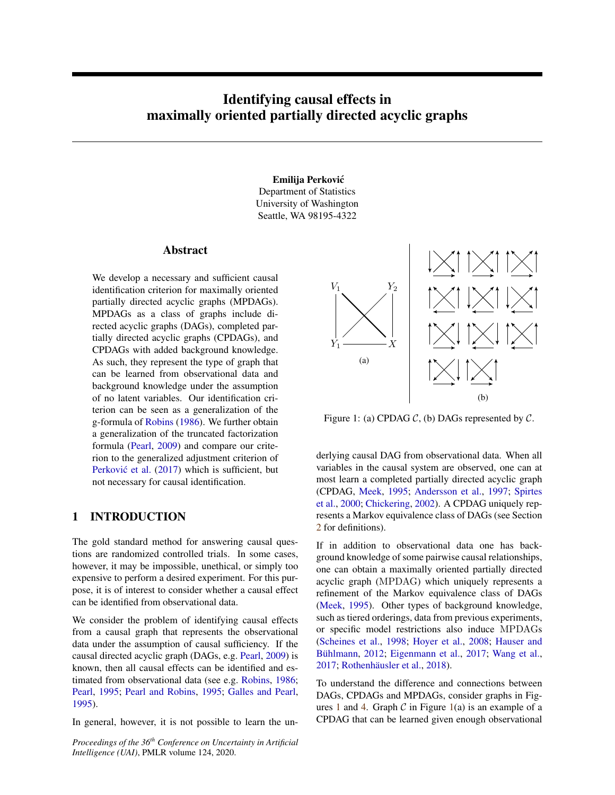# <span id="page-0-1"></span>Identifying causal effects in maximally oriented partially directed acyclic graphs

#### Emilija Perkovic´

Department of Statistics University of Washington Seattle, WA 98195-4322

### Abstract

We develop a necessary and sufficient causal identification criterion for maximally oriented partially directed acyclic graphs (MPDAGs). MPDAGs as a class of graphs include directed acyclic graphs (DAGs), completed partially directed acyclic graphs (CPDAGs), and CPDAGs with added background knowledge. As such, they represent the type of graph that can be learned from observational data and background knowledge under the assumption of no latent variables. Our identification criterion can be seen as a generalization of the g-formula of [Robins](#page-9-0) [\(1986\)](#page-9-0). We further obtain a generalization of the truncated factorization formula [\(Pearl,](#page-9-1) [2009\)](#page-9-1) and compare our criterion to the generalized adjustment criterion of Perković et al. [\(2017\)](#page-9-2) which is sufficient, but not necessary for causal identification.

# 1 INTRODUCTION

The gold standard method for answering causal questions are randomized controlled trials. In some cases, however, it may be impossible, unethical, or simply too expensive to perform a desired experiment. For this purpose, it is of interest to consider whether a causal effect can be identified from observational data.

We consider the problem of identifying causal effects from a causal graph that represents the observational data under the assumption of causal sufficiency. If the causal directed acyclic graph (DAGs, e.g. [Pearl,](#page-9-1) [2009\)](#page-9-1) is known, then all causal effects can be identified and estimated from observational data (see e.g. [Robins,](#page-9-0) [1986;](#page-9-0) [Pearl,](#page-9-3) [1995;](#page-9-3) [Pearl and Robins,](#page-9-4) [1995;](#page-9-4) [Galles and Pearl,](#page-8-0) [1995\)](#page-8-0).

In general, however, it is not possible to learn the un-

*Proceedings of the 36th Conference on Uncertainty in Artificial Intelligence (UAI)*, PMLR volume 124, 2020.

<span id="page-0-0"></span>

Figure 1: (a) CPDAG  $C$ , (b) DAGs represented by  $C$ .

derlying causal DAG from observational data. When all variables in the causal system are observed, one can at most learn a completed partially directed acyclic graph (CPDAG, [Meek,](#page-8-1) [1995;](#page-8-1) [Andersson et al.,](#page-8-2) [1997;](#page-8-2) [Spirtes](#page-9-5) [et al.,](#page-9-5) [2000;](#page-9-5) [Chickering,](#page-8-3) [2002\)](#page-8-3). A CPDAG uniquely represents a Markov equivalence class of DAGs (see Section [2](#page-1-0) for definitions).

If in addition to observational data one has background knowledge of some pairwise causal relationships, one can obtain a maximally oriented partially directed acyclic graph (MPDAG) which uniquely represents a refinement of the Markov equivalence class of DAGs [\(Meek,](#page-8-1) [1995\)](#page-8-1). Other types of background knowledge, such as tiered orderings, data from previous experiments, or specific model restrictions also induce MPDAGs [\(Scheines et al.,](#page-9-6) [1998;](#page-9-6) [Hoyer et al.,](#page-8-4) [2008;](#page-8-4) [Hauser and](#page-8-5) Bühlmann, [2012;](#page-8-5) [Eigenmann et al.,](#page-8-6) [2017;](#page-8-6) [Wang et al.,](#page-9-7) [2017;](#page-9-7) Rothenhäusler et al., [2018\)](#page-9-8).

To understand the difference and connections between DAGs, CPDAGs and MPDAGs, consider graphs in Fig-ures [1](#page-0-0) and [4.](#page-4-0) Graph  $C$  in Figure [1\(](#page-0-0)a) is an example of a CPDAG that can be learned given enough observational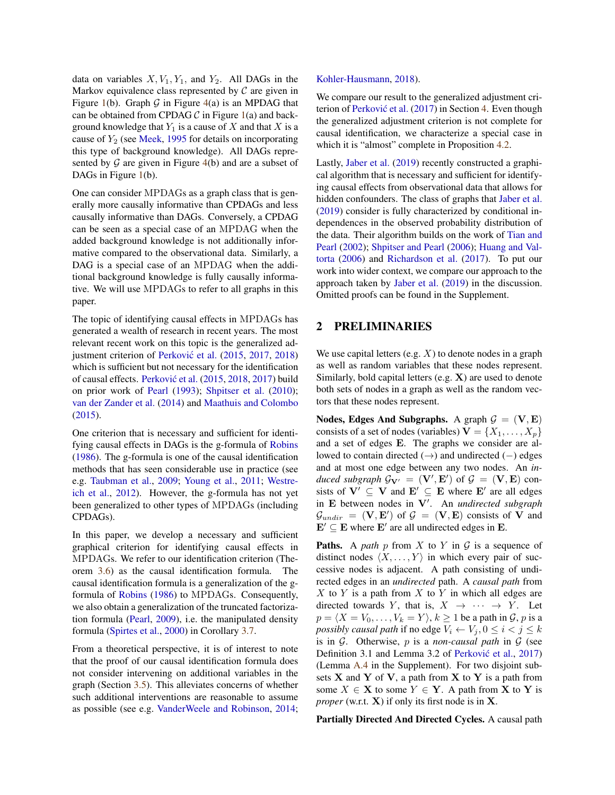data on variables  $X, V_1, Y_1$ , and  $Y_2$ . All DAGs in the Markov equivalence class represented by  $\mathcal C$  are given in Figure [1\(](#page-0-0)b). Graph G in Figure [4\(](#page-4-0)a) is an MPDAG that can be obtained from CPDAG  $\mathcal C$  in Figure [1\(](#page-0-0)a) and background knowledge that  $Y_1$  is a cause of  $X$  and that  $X$  is a cause of  $Y_2$  (see [Meek,](#page-8-1) [1995](#page-8-1) for details on incorporating this type of background knowledge). All DAGs represented by  $G$  are given in Figure [4\(](#page-4-0)b) and are a subset of DAGs in Figure [1\(](#page-0-0)b).

One can consider MPDAGs as a graph class that is generally more causally informative than CPDAGs and less causally informative than DAGs. Conversely, a CPDAG can be seen as a special case of an MPDAG when the added background knowledge is not additionally informative compared to the observational data. Similarly, a DAG is a special case of an MPDAG when the additional background knowledge is fully causally informative. We will use MPDAGs to refer to all graphs in this paper.

The topic of identifying causal effects in MPDAGs has generated a wealth of research in recent years. The most relevant recent work on this topic is the generalized ad-justment criterion of Perković et al. [\(2015,](#page-9-9) [2017,](#page-9-2) [2018\)](#page-9-10) which is sufficient but not necessary for the identification of causal effects. Perković et al. [\(2015,](#page-9-9) [2018,](#page-9-10) [2017\)](#page-9-2) build on prior work of [Pearl](#page-9-11) [\(1993\)](#page-9-11); [Shpitser et al.](#page-9-12) [\(2010\)](#page-9-12); [van der Zander et al.](#page-9-13) [\(2014\)](#page-9-13) and [Maathuis and Colombo](#page-8-7) [\(2015\)](#page-8-7).

One criterion that is necessary and sufficient for identifying causal effects in DAGs is the g-formula of [Robins](#page-9-0) [\(1986\)](#page-9-0). The g-formula is one of the causal identification methods that has seen considerable use in practice (see e.g. [Taubman et al.,](#page-9-14) [2009;](#page-9-14) [Young et al.,](#page-9-15) [2011;](#page-9-15) [Westre](#page-9-16)[ich et al.,](#page-9-16) [2012\)](#page-9-16). However, the g-formula has not yet been generalized to other types of MPDAGs (including CPDAGs).

In this paper, we develop a necessary and sufficient graphical criterion for identifying causal effects in MPDAGs. We refer to our identification criterion (Theorem [3.6\)](#page-5-0) as the causal identification formula. The causal identification formula is a generalization of the gformula of [Robins](#page-9-0) [\(1986\)](#page-9-0) to MPDAGs. Consequently, we also obtain a generalization of the truncated factorization formula [\(Pearl,](#page-9-1) [2009\)](#page-9-1), i.e. the manipulated density formula [\(Spirtes et al.,](#page-9-5) [2000\)](#page-9-5) in Corollary [3.7.](#page-5-1)

From a theoretical perspective, it is of interest to note that the proof of our causal identification formula does not consider intervening on additional variables in the graph (Section [3.5\)](#page-6-0). This alleviates concerns of whether such additional interventions are reasonable to assume as possible (see e.g. [VanderWeele and Robinson,](#page-9-17) [2014;](#page-9-17) [Kohler-Hausmann,](#page-8-8) [2018\)](#page-8-8).

We compare our result to the generalized adjustment cri-terion of Perković et al. [\(2017\)](#page-9-2) in Section [4.](#page-6-1) Even though the generalized adjustment criterion is not complete for causal identification, we characterize a special case in which it is "almost" complete in Proposition [4.2.](#page-7-0)

Lastly, [Jaber et al.](#page-8-9) [\(2019\)](#page-8-9) recently constructed a graphical algorithm that is necessary and sufficient for identifying causal effects from observational data that allows for hidden confounders. The class of graphs that [Jaber et al.](#page-8-9) [\(2019\)](#page-8-9) consider is fully characterized by conditional independences in the observed probability distribution of the data. Their algorithm builds on the work of [Tian and](#page-9-18) [Pearl](#page-9-18) [\(2002\)](#page-9-18); [Shpitser and Pearl](#page-9-19) [\(2006\)](#page-9-19); [Huang and Val](#page-8-10)[torta](#page-8-10) [\(2006\)](#page-8-10) and [Richardson et al.](#page-9-20) [\(2017\)](#page-9-20). To put our work into wider context, we compare our approach to the approach taken by [Jaber et al.](#page-8-9) [\(2019\)](#page-8-9) in the discussion. Omitted proofs can be found in the Supplement.

# <span id="page-1-0"></span>2 PRELIMINARIES

We use capital letters (e.g.  $X$ ) to denote nodes in a graph as well as random variables that these nodes represent. Similarly, bold capital letters  $(e.g. X)$  are used to denote both sets of nodes in a graph as well as the random vectors that these nodes represent.

Nodes, Edges And Subgraphs. A graph  $G = (V, E)$ consists of a set of nodes (variables)  $V = \{X_1, \ldots, X_n\}$ and a set of edges E. The graphs we consider are allowed to contain directed (→) and undirected (−) edges and at most one edge between any two nodes. An *induced subgraph*  $\mathcal{G}_{V'} = (V', E')$  of  $\mathcal{G} = (V, E)$  consists of  $V' \subseteq V$  and  $E' \subseteq E$  where  $E'$  are all edges in E between nodes in V'. An *undirected subgraph*  $\mathcal{G}_{undir} = (\mathbf{V}, \mathbf{E}')$  of  $\mathcal{G} = (\mathbf{V}, \mathbf{E})$  consists of V and  $\mathbf{E}' \subseteq \mathbf{E}$  where  $\mathbf{E}'$  are all undirected edges in  $\mathbf{E}$ .

**Paths.** A *path*  $p$  from  $X$  to  $Y$  in  $G$  is a sequence of distinct nodes  $\langle X, \ldots, Y \rangle$  in which every pair of successive nodes is adjacent. A path consisting of undirected edges in an *undirected* path. A *causal path* from  $X$  to  $Y$  is a path from  $X$  to  $Y$  in which all edges are directed towards Y, that is,  $X \rightarrow \cdots \rightarrow Y$ . Let  $p = \langle X = V_0, \ldots, V_k = Y \rangle, k \ge 1$  be a path in  $\mathcal{G}, p$  is a *possibly causal path* if no edge  $V_i \leftarrow V_j, 0 \leq i < j \leq k$ is in G. Otherwise, p is a *non-causal path* in G (see Definition 3.1 and Lemma 3.2 of Perković et al., [2017\)](#page-9-2) (Lemma [A.4](#page-0-1) in the Supplement). For two disjoint subsets  $X$  and  $Y$  of  $V$ , a path from  $X$  to  $Y$  is a path from some  $X \in \mathbf{X}$  to some  $Y \in \mathbf{Y}$ . A path from **X** to **Y** is *proper* (w.r.t. **X**) if only its first node is in **X**.

Partially Directed And Directed Cycles. A causal path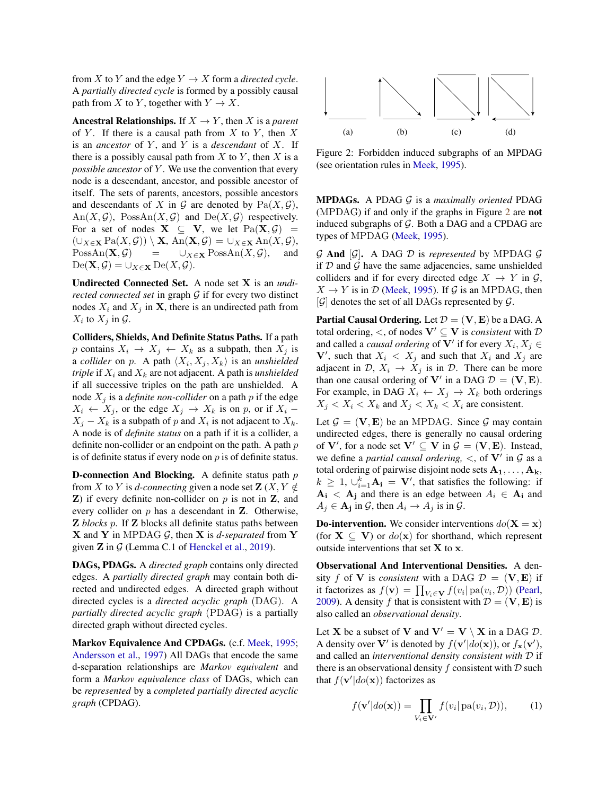from X to Y and the edge  $Y \to X$  form a *directed cycle*. A *partially directed cycle* is formed by a possibly causal path from X to Y, together with  $Y \to X$ .

**Ancestral Relationships.** If  $X \rightarrow Y$ , then X is a *parent* of Y. If there is a causal path from  $X$  to Y, then  $X$ is an *ancestor* of Y, and Y is a *descendant* of X. If there is a possibly causal path from  $X$  to  $Y$ , then  $X$  is a *possible ancestor* of Y. We use the convention that every node is a descendant, ancestor, and possible ancestor of itself. The sets of parents, ancestors, possible ancestors and descendants of X in G are denoted by  $Pa(X, \mathcal{G})$ ,  $An(X, \mathcal{G})$ ,  $PossAn(X, \mathcal{G})$  and  $De(X, \mathcal{G})$  respectively. For a set of nodes  $X \subseteq V$ , we let  $Pa(X, \mathcal{G}) =$  $(\cup_{X\in\mathbf{X}}\text{Pa}(X,\mathcal{G}))\setminus\mathbf{X}, \text{An}(\mathbf{X},\mathcal{G})=\cup_{X\in\mathbf{X}}\text{An}(X,\mathcal{G}),$  $PossAn(\mathbf{X}, \mathcal{G}) = \cup_{X \in \mathbf{X}} PossAn(X, \mathcal{G}),$  and  $\text{De}(\mathbf{X}, \mathcal{G}) = \bigcup_{X \in \mathbf{X}} \text{De}(X, \mathcal{G}).$ 

Undirected Connected Set. A node set X is an *undirected connected set* in graph G if for every two distinct nodes  $X_i$  and  $X_j$  in **X**, there is an undirected path from  $X_i$  to  $X_j$  in  $\mathcal{G}$ .

Colliders, Shields, And Definite Status Paths. If a path p contains  $X_i \rightarrow X_j \leftarrow X_k$  as a subpath, then  $X_j$  is a *collider* on p. A path  $\langle X_i, X_j, X_k \rangle$  is an *unshielded triple* if  $X_i$  and  $X_k$  are not adjacent. A path is *unshielded* if all successive triples on the path are unshielded. A node  $X_j$  is a *definite non-collider* on a path p if the edge  $X_i \leftarrow X_j$ , or the edge  $X_i \rightarrow X_k$  is on p, or if  $X_i$  –  $X_j - X_k$  is a subpath of p and  $X_i$  is not adjacent to  $X_k$ . A node is of *definite status* on a path if it is a collider, a definite non-collider or an endpoint on the path. A path  $p$ is of definite status if every node on  $p$  is of definite status.

D-connection And Blocking. A definite status path *p* from X to Y is *d-connecting* given a node set  $\mathbf{Z}(X, Y \notin \mathbb{R})$  $Z$ ) if every definite non-collider on  $p$  is not in  $Z$ , and every collider on p has a descendant in Z. Otherwise, Z *blocks* p. If Z blocks all definite status paths between  $X$  and  $Y$  in MPDAG  $G$ , then  $X$  is *d-separated* from  $Y$ given  $Z$  in  $G$  (Lemma C.1 of [Henckel et al.,](#page-8-11) [2019\)](#page-8-11).

DAGs, PDAGs. A *directed graph* contains only directed edges. A *partially directed graph* may contain both directed and undirected edges. A directed graph without directed cycles is a *directed acyclic graph* (DAG). A *partially directed acyclic graph* (PDAG) is a partially directed graph without directed cycles.

Markov Equivalence And CPDAGs. (c.f. [Meek,](#page-8-1) [1995;](#page-8-1) [Andersson et al.,](#page-8-2) [1997\)](#page-8-2) All DAGs that encode the same d-separation relationships are *Markov equivalent* and form a *Markov equivalence class* of DAGs, which can be *represented* by a *completed partially directed acyclic graph* (CPDAG).

<span id="page-2-0"></span>

Figure 2: Forbidden induced subgraphs of an MPDAG (see orientation rules in [Meek,](#page-8-1) [1995\)](#page-8-1).

MPDAGs. A PDAG G is a *maximally oriented* PDAG (MPDAG) if and only if the graphs in Figure [2](#page-2-0) are not induced subgraphs of  $G$ . Both a DAG and a CPDAG are types of MPDAG [\(Meek,](#page-8-1) [1995\)](#page-8-1).

 $G$  **And**  $[G]$ . A DAG  $D$  is *represented* by MPDAG  $G$ if  $D$  and  $G$  have the same adjacencies, same unshielded colliders and if for every directed edge  $X \to Y$  in  $\mathcal{G}$ ,  $X \rightarrow Y$  is in D [\(Meek,](#page-8-1) [1995\)](#page-8-1). If G is an MPDAG, then  $[\mathcal{G}]$  denotes the set of all DAGs represented by  $\mathcal{G}$ .

**Partial Causal Ordering.** Let  $\mathcal{D} = (\mathbf{V}, \mathbf{E})$  be a DAG. A total ordering,  $\lt$ , of nodes  $V' \subseteq V$  is *consistent* with  $D$ and called a *causal ordering* of  $V'$  if for every  $X_i, X_j \in$ V', such that  $X_i < X_j$  and such that  $X_i$  and  $X_j$  are adjacent in  $\mathcal{D}, X_i \rightarrow X_j$  is in  $\mathcal{D}$ . There can be more than one causal ordering of V' in a DAG  $D = (\mathbf{V}, \mathbf{E})$ . For example, in DAG  $X_i \leftarrow X_j \rightarrow X_k$  both orderings  $X_i < X_k < X_k$  and  $X_i < X_k < X_i$  are consistent.

Let  $\mathcal{G} = (\mathbf{V}, \mathbf{E})$  be an MPDAG. Since  $\mathcal{G}$  may contain undirected edges, there is generally no causal ordering of V', for a node set  $V' \subseteq V$  in  $\mathcal{G} = (V, E)$ . Instead, we define a *partial causal ordering*,  $\lt$ , of  $V'$  in  $\mathcal G$  as a total ordering of pairwise disjoint node sets  $A_1, \ldots, A_k$ ,  $k \geq 1$ ,  $\cup_{i=1}^{k}$  **A**<sub>i</sub> = **V**', that satisfies the following: if  $A_i$  <  $A_j$  and there is an edge between  $A_i \in A_j$  and  $A_j \in \mathbf{A_j}$  in  $\mathcal{G}$ , then  $A_i \to A_j$  is in  $\mathcal{G}$ .

**Do-intervention.** We consider interventions  $do(X = x)$ (for  $X \subseteq V$ ) or  $do(x)$  for shorthand, which represent outside interventions that set  $X$  to  $x$ .

Observational And Interventional Densities. A density f of V is *consistent* with a DAG  $\mathcal{D} = (\mathbf{V}, \mathbf{E})$  if it factorizes as  $f(\mathbf{v}) = \prod_{V_i \in \mathbf{V}} f(v_i | pa(v_i, \mathcal{D}))$  [\(Pearl,](#page-9-1) [2009\)](#page-9-1). A density f that is consistent with  $\mathcal{D} = (\mathbf{V}, \mathbf{E})$  is also called an *observational density*.

Let **X** be a subset of **V** and  $V' = V \setminus X$  in a DAG D. A density over V' is denoted by  $f(\mathbf{v}'|do(\mathbf{x}))$ , or  $f_{\mathbf{x}}(\mathbf{v}')$ , and called an *interventional density consistent with* D if there is an observational density  $f$  consistent with  $D$  such that  $f(\mathbf{v}'|do(\mathbf{x}))$  factorizes as

<span id="page-2-1"></span>
$$
f(\mathbf{v}'|do(\mathbf{x})) = \prod_{V_i \in \mathbf{V}'} f(v_i | pa(v_i, \mathcal{D})), \qquad (1)
$$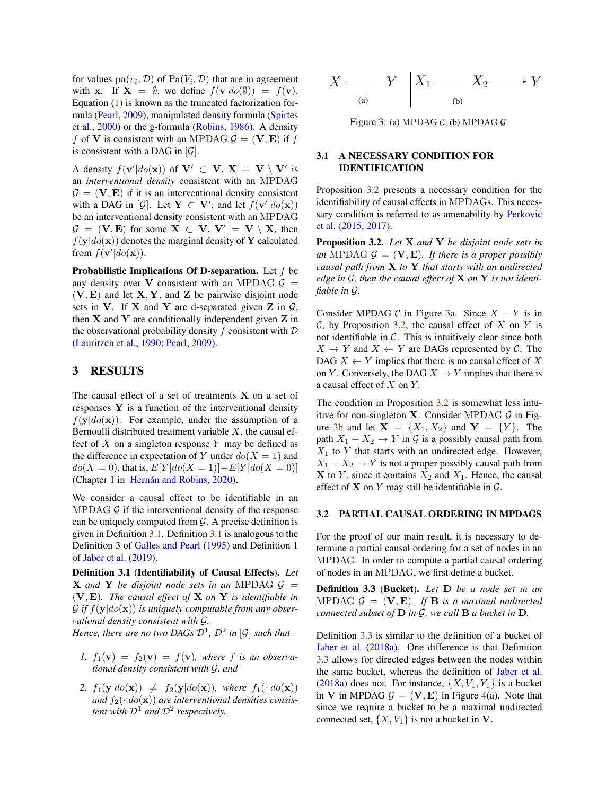for values  $pa(v_i, D)$  of  $Pa(V_i, D)$  that are in agreement with x. If  $X = \emptyset$ , we define  $f(\mathbf{v}|do(\emptyset)) = f(\mathbf{v})$ . Equation [\(1\)](#page-2-1) is known as the truncated factorization formula [\(Pearl,](#page-9-1) [2009\)](#page-9-1), manipulated density formula [\(Spirtes](#page-9-5) [et al.,](#page-9-5) [2000\)](#page-9-5) or the g-formula [\(Robins,](#page-9-0) [1986\)](#page-9-0). A density f of V is consistent with an MPDAG  $\mathcal{G} = (\mathbf{V}, \mathbf{E})$  if f is consistent with a DAG in  $[\mathcal{G}]$ .

A density  $f(\mathbf{v}'|do(\mathbf{x}))$  of  $\mathbf{V}' \subset \mathbf{V}$ ,  $\mathbf{X} = \mathbf{V} \setminus \mathbf{V}'$  is an *interventional density* consistent with an MPDAG  $\mathcal{G} = (\mathbf{V}, \mathbf{E})$  if it is an interventional density consistent with a DAG in [G]. Let  $Y \subset V'$ , and let  $f(v'|do(x))$ be an interventional density consistent with an MPDAG  $G = (V, E)$  for some  $X \subset V$ ,  $V' = V \setminus X$ , then  $f(\mathbf{y}|do(\mathbf{x}))$  denotes the marginal density of Y calculated from  $f(\mathbf{v}'|do(\mathbf{x}))$ .

Probabilistic Implications Of D-separation. Let  $f$  be any density over V consistent with an MPDAG  $G =$  $(V, E)$  and let  $X, Y$ , and  $Z$  be pairwise disjoint node sets in V. If X and Y are d-separated given Z in  $\mathcal{G}$ , then  $X$  and  $Y$  are conditionally independent given  $Z$  in the observational probability density f consistent with  $D$ [\(Lauritzen et al.,](#page-8-12) [1990;](#page-8-12) [Pearl,](#page-9-1) [2009\)](#page-9-1).

# 3 RESULTS

The causal effect of a set of treatments  $X$  on a set of responses  $Y$  is a function of the interventional density  $f(\mathbf{y}|do(\mathbf{x}))$ . For example, under the assumption of a Bernoulli distributed treatment variable  $X$ , the causal effect of X on a singleton response Y may be defined as the difference in expectation of Y under  $do(X = 1)$  and  $do(X = 0)$ , that is,  $E[Y|do(X = 1)] - E[Y|do(X = 0)]$ (Chapter 1 in Hernán and Robins, [2020\)](#page-8-13).

We consider a causal effect to be identifiable in an MPDAG  $\mathcal G$  if the interventional density of the response can be uniquely computed from  $\mathcal{G}$ . A precise definition is given in Definition [3.1.](#page-3-0) Definition [3.1](#page-3-0) is analogous to the Definition 3 of [Galles and Pearl](#page-8-0) [\(1995\)](#page-8-0) and Definition 1 of [Jaber et al.](#page-8-9) [\(2019\)](#page-8-9).

<span id="page-3-0"></span>Definition 3.1 (Identifiability of Causal Effects). *Let* **X** and **Y** be disjoint node sets in an MPDAG  $\mathcal{G}$  = (V, E)*. The causal effect of* X *on* Y *is identifiable in*  $\mathcal G$  if  $f(\mathbf y|do(\mathbf x))$  is uniquely computable from any obser*vational density consistent with* G*.*

*Hence, there are no two DAGs*  $\mathcal{D}^1$ ,  $\mathcal{D}^2$  *in*  $\lbrack \mathcal{G} \rbrack$  *such that* 

- 1.  $f_1(\mathbf{v}) = f_2(\mathbf{v}) = f(\mathbf{v})$ , where f is an observa*tional density consistent with* G*, and*
- <span id="page-3-4"></span>2.  $f_1(\mathbf{y}|do(\mathbf{x})) \neq f_2(\mathbf{y}|do(\mathbf{x}))$ *, where*  $f_1(\cdot|do(\mathbf{x}))$ and  $f_2(\cdot|do(\mathbf{x}))$  are interventional densities consis*tent with*  $\mathcal{D}^1$  *and*  $\mathcal{D}^2$  *respectively.*

<span id="page-3-2"></span>

Figure 3: (a) MPDAG  $C$ , (b) MPDAG  $G$ .

## 3.1 A NECESSARY CONDITION FOR IDENTIFICATION

Proposition [3.2](#page-3-1) presents a necessary condition for the identifiability of causal effects in MPDAGs. This necessary condition is referred to as amenability by Perković [et al.](#page-9-9) [\(2015,](#page-9-9) [2017\)](#page-9-2).

<span id="page-3-1"></span>Proposition 3.2. *Let* X *and* Y *be disjoint node sets in an* MPDAG  $G = (\mathbf{V}, \mathbf{E})$ *. If there is a proper possibly causal path from* X *to* Y *that starts with an undirected edge in* G*, then the causal effect of* X *on* Y *is not identifiable in* G*.*

Consider MPDAG  $\mathcal C$  in Figure [3a.](#page-3-2) Since  $X - Y$  is in  $C$ , by Proposition [3.2,](#page-3-1) the causal effect of X on Y is not identifiable in  $C$ . This is intuitively clear since both  $X \to Y$  and  $X \leftarrow Y$  are DAGs represented by C. The DAG  $X \leftarrow Y$  implies that there is no causal effect of X on Y. Conversely, the DAG  $X \to Y$  implies that there is a causal effect of X on Y.

The condition in Proposition [3.2](#page-3-1) is somewhat less intuitive for non-singleton **X**. Consider MPDAG  $\mathcal{G}$  in Fig-ure [3b](#page-3-2) and let  $X = \{X_1, X_2\}$  and  $Y = \{Y\}$ . The path  $X_1 - X_2 \rightarrow Y$  in G is a possibly causal path from  $X_1$  to Y that starts with an undirected edge. However,  $X_1 - X_2 \rightarrow Y$  is not a proper possibly causal path from  $X$  to Y, since it contains  $X_2$  and  $X_1$ . Hence, the causal effect of **X** on *Y* may still be identifiable in  $\mathcal{G}$ .

### 3.2 PARTIAL CAUSAL ORDERING IN MPDAGS

For the proof of our main result, it is necessary to determine a partial causal ordering for a set of nodes in an MPDAG. In order to compute a partial causal ordering of nodes in an MPDAG, we first define a bucket.

<span id="page-3-3"></span>Definition 3.3 (Bucket). *Let* D *be a node set in an* MPDAG  $\mathcal{G} = (\mathbf{V}, \mathbf{E})$ . If **B** is a maximal undirected *connected subset of*  $D$  *in*  $G$ *, we call*  $B$  *a bucket in*  $D$ *.* 

Definition [3.3](#page-3-3) is similar to the definition of a bucket of [Jaber et al.](#page-8-14) [\(2018a\)](#page-8-14). One difference is that Definition [3.3](#page-3-3) allows for directed edges between the nodes within the same bucket, whereas the definition of [Jaber et al.](#page-8-14) [\(2018a\)](#page-8-14) does not. For instance,  $\{X, V_1, Y_1\}$  is a bucket in V in MPDAG  $\mathcal{G} = (\mathbf{V}, \mathbf{E})$  in Figure [4\(](#page-4-0)a). Note that since we require a bucket to be a maximal undirected connected set,  $\{X, V_1\}$  is not a bucket in V.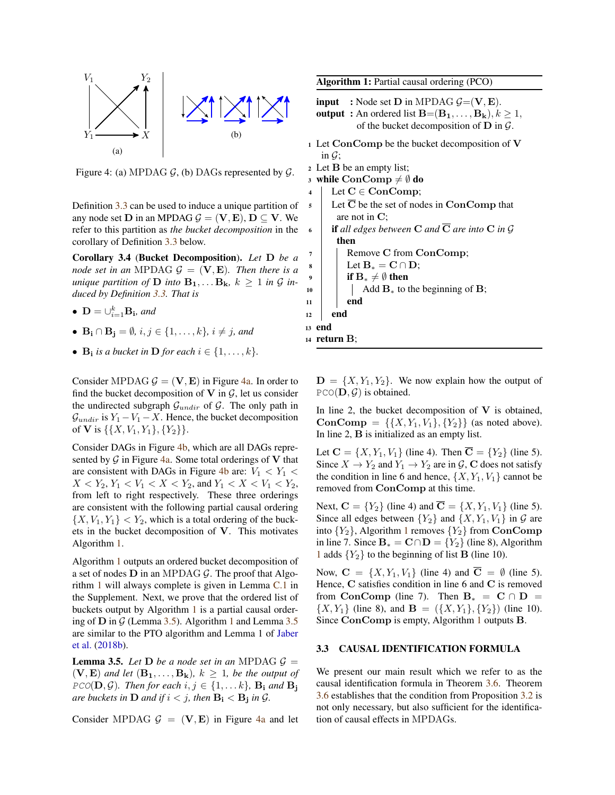<span id="page-4-0"></span>

Figure 4: (a) MPDAG  $G$ , (b) DAGs represented by  $G$ .

Definition [3.3](#page-3-3) can be used to induce a unique partition of any node set **D** in an MPDAG  $G = (\mathbf{V}, \mathbf{E}), \mathbf{D} \subseteq \mathbf{V}$ . We refer to this partition as *the bucket decomposition* in the corollary of Definition [3.3](#page-3-3) below.

Corollary 3.4 (Bucket Decomposition). *Let* D *be a node set in an* MPDAG  $G = (\mathbf{V}, \mathbf{E})$ *. Then there is a unique partition of* **D** *into*  $B_1, \ldots, B_k$ ,  $k \geq 1$  *in G induced by Definition [3.3.](#page-3-3) That is*

- $\mathbf{D} = \cup_{i=1}^k \mathbf{B_i}$ *, and*
- $\mathbf{B_i} \cap \mathbf{B_j} = \emptyset$ ,  $i, j \in \{1, \ldots, k\}$ ,  $i \neq j$ , and
- $\mathbf{B_i}$  *is a bucket in*  $\mathbf{D}$  *for each*  $i \in \{1, \ldots, k\}$ *.*

Consider MPDAG  $\mathcal{G} = (\mathbf{V}, \mathbf{E})$  in Figure [4a.](#page-4-0) In order to find the bucket decomposition of  $V$  in  $G$ , let us consider the undirected subgraph  $\mathcal{G}_{undir}$  of  $\mathcal{G}$ . The only path in  $\mathcal{G}_{undir}$  is  $Y_1 - V_1 - X$ . Hence, the bucket decomposition of **V** is  $\{\{X, V_1, Y_1\}, \{Y_2\}\}.$ 

Consider DAGs in Figure [4b,](#page-4-0) which are all DAGs represented by  $\mathcal G$  in Figure [4a.](#page-4-0) Some total orderings of V that are consistent with DAGs in Figure [4b](#page-4-0) are:  $V_1 < Y_1$  $X < Y_2, Y_1 < Y_1 < X < Y_2$ , and  $Y_1 < X < Y_1 < Y_2$ , from left to right respectively. These three orderings are consistent with the following partial causal ordering  $\{X, V_1, Y_1\} < Y_2$ , which is a total ordering of the buckets in the bucket decomposition of V. This motivates Algorithm [1.](#page-4-1)

Algorithm [1](#page-4-1) outputs an ordered bucket decomposition of a set of nodes  $D$  in an MPDAG  $G$ . The proof that Algorithm [1](#page-4-1) will always complete is given in Lemma [C.1](#page-0-1) in the Supplement. Next, we prove that the ordered list of buckets output by Algorithm [1](#page-4-1) is a partial causal ordering of  $D$  in  $G$  (Lemma [3.5\)](#page-4-2). Algorithm [1](#page-4-1) and Lemma [3.5](#page-4-2) are similar to the PTO algorithm and Lemma 1 of [Jaber](#page-8-15) [et al.](#page-8-15) [\(2018b\)](#page-8-15).

<span id="page-4-2"></span>**Lemma 3.5.** *Let*  $D$  *be a node set in an* MPDAG  $G =$  $(V, E)$  *and let*  $(B_1, \ldots, B_k)$ *,*  $k \geq 1$ *, be the output of*  $PCO(D, \mathcal{G})$ *. Then for each*  $i, j \in \{1, \ldots k\}$ *,*  $\mathbf{B_i}$  and  $\mathbf{B_i}$ *are buckets in*  $D$  *and if*  $i < j$ *, then*  $B_i < B_j$  *in G*.

Consider MPDAG  $G = (\mathbf{V}, \mathbf{E})$  in Figure [4a](#page-4-0) and let

Algorithm 1: Partial causal ordering (PCO)

- **input** : Node set **D** in MPDAG  $G = (\mathbf{V}, \mathbf{E})$ . **output** : An ordered list  $\mathbf{B}=(\mathbf{B_1}, \ldots, \mathbf{B_k}), k \geq 1$ , of the bucket decomposition of  $D$  in  $G$ .
- <sup>1</sup> Let ConComp be the bucket decomposition of V in  $\mathcal{G}$ ;
- <sup>2</sup> Let B be an empty list;
- 3 while  $ConComp \neq \emptyset$  do
- 4 Let  $C \in ConComp;$
- $\overline{\phantom{a}}$  Let  $\overline{\mathbf{C}}$  be the set of nodes in ConComp that are not in C;
- 6 if all edges between C and  $\overline{C}$  are into C in G then Remove C from ConComp;
- $\mathbf{s}$  | Let  $\mathbf{B}_* = \mathbf{C} \cap \mathbf{D}$ ;
	- if  $B_* \neq \emptyset$  then
- $_{10}$  | | Add  $\mathbf{B}_{*}$  to the beginning of **B**;
- $11$  end
- $12$  end
- <sup>13</sup> end
- <span id="page-4-1"></span><sup>14</sup> return B;

 $D = \{X, Y_1, Y_2\}$ . We now explain how the output of  $PCO(D, \mathcal{G})$  is obtained.

In line 2, the bucket decomposition of  $V$  is obtained, **ConComp** = { $\{X, Y_1, V_1\}, \{Y_2\}$ } (as noted above). In line 2, B is initialized as an empty list.

Let  $C = \{X, Y_1, V_1\}$  (line 4). Then  $\overline{C} = \{Y_2\}$  (line 5). Since  $X \to Y_2$  and  $Y_1 \to Y_2$  are in  $\mathcal{G}, \mathbf{C}$  does not satisfy the condition in line 6 and hence,  $\{X, Y_1, V_1\}$  cannot be removed from ConComp at this time.

Next,  $C = \{Y_2\}$  (line 4) and  $\overline{C} = \{X, Y_1, V_1\}$  (line 5). Since all edges between  ${Y_2}$  and  ${X, Y_1, V_1}$  in G are into  ${Y_2}$ , Algorithm [1](#page-4-1) removes  ${Y_2}$  from ConComp in line 7. Since  $\mathbf{B}_{*} = \mathbf{C} \cap \mathbf{D} = \{Y_2\}$  (line 8), Algorithm [1](#page-4-1) adds  ${Y_2}$  to the beginning of list **B** (line 10).

Now,  $C = \{X, Y_1, V_1\}$  (line 4) and  $\overline{C} = \emptyset$  (line 5). Hence, C satisfies condition in line 6 and C is removed from ConComp (line 7). Then  $B_* = C \cap D =$  $\{X, Y_1\}$  (line 8), and  $\mathbf{B} = (\{X, Y_1\}, \{Y_2\})$  (line 10). Since ConComp is empty, Algorithm [1](#page-4-1) outputs B.

#### 3.3 CAUSAL IDENTIFICATION FORMULA

We present our main result which we refer to as the causal identification formula in Theorem [3.6.](#page-5-0) Theorem [3.6](#page-5-0) establishes that the condition from Proposition [3.2](#page-3-1) is not only necessary, but also sufficient for the identification of causal effects in MPDAGs.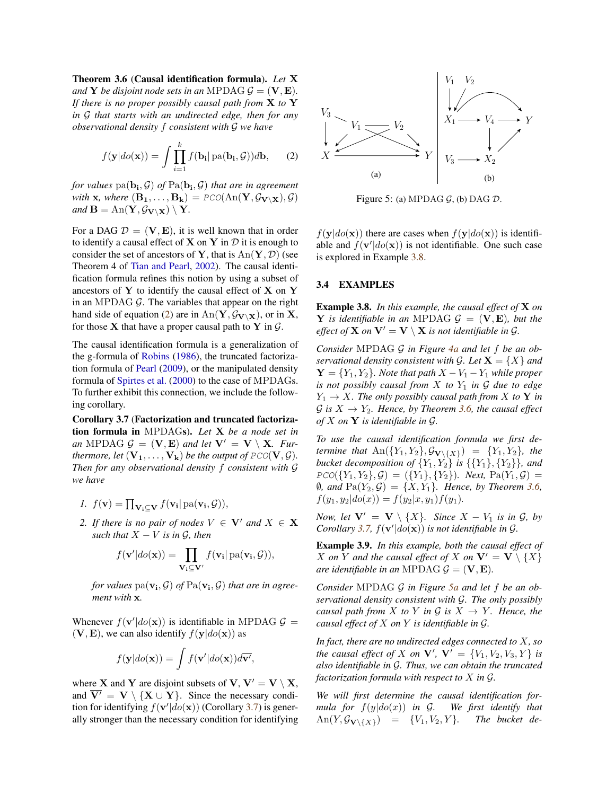<span id="page-5-0"></span>Theorem 3.6 (Causal identification formula). *Let* X *and* **Y** *be disjoint node sets in an* MPDAG  $G = (\mathbf{V}, \mathbf{E})$ *. If there is no proper possibly causal path from* X *to* Y *in* G *that starts with an undirected edge, then for any observational density* f *consistent with* G *we have*

$$
f(\mathbf{y}|do(\mathbf{x})) = \int \prod_{i=1}^{k} f(\mathbf{b_i} | pa(\mathbf{b_i}, \mathcal{G})) d\mathbf{b}, \qquad (2)
$$

for values  $\text{pa}(\mathbf{b_i}, \mathcal{G})$  of  $\text{Pa}(\mathbf{b_i}, \mathcal{G})$  that are in agreement *with* **x**, where  $(\mathbf{B}_1, \ldots, \mathbf{B}_k) = \text{PCO}(\text{An}(\mathbf{Y}, \mathcal{G}_{\mathbf{V} \setminus \mathbf{X}}), \mathcal{G})$ *and*  $\mathbf{B} = \text{An}(\mathbf{Y}, \mathcal{G}_{\mathbf{V}\setminus\mathbf{X}}) \setminus \mathbf{Y}$ .

For a DAG  $\mathcal{D} = (\mathbf{V}, \mathbf{E})$ , it is well known that in order to identify a causal effect of  $X$  on  $Y$  in  $D$  it is enough to consider the set of ancestors of Y, that is  $An(Y, \mathcal{D})$  (see Theorem 4 of [Tian and Pearl,](#page-9-18) [2002\)](#page-9-18). The causal identification formula refines this notion by using a subset of ancestors of Y to identify the causal effect of X on Y in an MPDAG  $G$ . The variables that appear on the right hand side of equation [\(2\)](#page-5-2) are in  $An(Y, \mathcal{G}_{V \setminus X})$ , or in X, for those **X** that have a proper causal path to **Y** in  $\mathcal{G}$ .

The causal identification formula is a generalization of the g-formula of [Robins](#page-9-0) [\(1986\)](#page-9-0), the truncated factorization formula of [Pearl](#page-9-1) [\(2009\)](#page-9-1), or the manipulated density formula of [Spirtes et al.](#page-9-5) [\(2000\)](#page-9-5) to the case of MPDAGs. To further exhibit this connection, we include the following corollary.

<span id="page-5-1"></span>Corollary 3.7 (Factorization and truncated factorization formula in MPDAGs). *Let* X *be a node set in an* MPDAG  $G = (\mathbf{V}, \mathbf{E})$  *and let*  $\mathbf{V}' = \mathbf{V} \setminus \mathbf{X}$ *. Furthermore, let*  $(V_1, \ldots, V_k)$  *be the output of*  $PCO(V, \mathcal{G})$ *. Then for any observational density* f *consistent with* G *we have*

<span id="page-5-5"></span>
$$
I. f(\mathbf{v}) = \prod_{\mathbf{V_i} \subseteq \mathbf{V}} f(\mathbf{v_i} | \operatorname{pa}(\mathbf{v_i}, \mathcal{G})),
$$

<span id="page-5-6"></span>*2. If there is no pair of nodes*  $V \in V'$  *and*  $X \in X$ *such that*  $X - V$  *is in G, then* 

$$
f(\mathbf{v}'|do(\mathbf{x})) = \prod_{\mathbf{V_i} \subseteq \mathbf{V'}} f(\mathbf{v_i} | pa(\mathbf{v_i}, \mathcal{G})),
$$

for values  $\text{pa}(\mathbf{v_i}, \mathcal{G})$  of  $\text{Pa}(\mathbf{v_i}, \mathcal{G})$  that are in agree*ment with* x*.*

Whenever  $f(\mathbf{v}'|do(\mathbf{x}))$  is identifiable in MPDAG  $\mathcal{G}$  =  $(V, E)$ , we can also identify  $f(y|do(x))$  as

$$
f(\mathbf{y}|do(\mathbf{x})) = \int f(\mathbf{v}'|do(\mathbf{x}))d\overline{\mathbf{v}'},
$$

where **X** and **Y** are disjoint subsets of **V**,  $V' = V \setminus X$ , and  $\overline{V'} = V \setminus \{X \cup Y\}$ . Since the necessary condition for identifying  $f(\mathbf{v}'|do(\mathbf{x}))$  (Corollary [3.7\)](#page-5-1) is generally stronger than the necessary condition for identifying

<span id="page-5-4"></span><span id="page-5-2"></span>

Figure 5: (a) MPDAG  $G$ , (b) DAG  $D$ .

 $f(\mathbf{y}|do(\mathbf{x}))$  there are cases when  $f(\mathbf{y}|do(\mathbf{x}))$  is identifiable and  $f(\mathbf{v}'|do(\mathbf{x}))$  is not identifiable. One such case is explored in Example [3.8.](#page-5-3)

### 3.4 EXAMPLES

<span id="page-5-3"></span>Example 3.8. *In this example, the causal effect of* X *on* **Y** is identifiable in an MPDAG  $\mathcal{G} = (\mathbf{V}, \mathbf{E})$ , but the *effect of* **X** *on*  $V' = V \setminus X$  *is not identifiable in G.* 

*Consider* MPDAG G *in Figure [4a](#page-4-0) and let* f *be an observational density consistent with*  $G$ *. Let*  $X = \{X\}$  *and*  $\mathbf{Y} = \{Y_1, Y_2\}$ . Note that path  $X - V_1 - Y_1$  while proper *is not possibly causal from*  $X$  *to*  $Y_1$  *in*  $G$  *due to edge*  $Y_1 \rightarrow X$ *. The only possibly causal path from* X *to* Y *in*  $G$  *is*  $X \rightarrow Y_2$ *. Hence, by Theorem [3.6,](#page-5-0) the causal effect of* X *on* Y *is identifiable in* G*.*

*To use the causal identification formula we first determine that*  $\text{An}(\{Y_1, Y_2\}, \mathcal{G}_{\mathbf{V}\setminus \{X\}}) = \{Y_1, Y_2\}$ , the *bucket decomposition of*  ${Y_1, Y_2}$  *is*  ${Y_1, Y_2}$ *,*  ${Y_2}$ *, and*  $PCO(\{Y_1, Y_2\}, \mathcal{G}) = (\{Y_1\}, \{Y_2\})$ . Next,  $Pa(Y_1, \mathcal{G}) =$  $\emptyset$ *, and*  $\text{Pa}(Y_2, \mathcal{G}) = \{X, Y_1\}$ *. Hence, by Theorem [3.6,](#page-5-0)*  $f(y_1, y_2|do(x)) = f(y_2|x, y_1)f(y_1).$ 

*Now, let*  $V' = V \setminus \{X\}$ *. Since*  $X - V_1$  *is in G, by Corollary* [3.7,](#page-5-1)  $f(\mathbf{v}'|do(\mathbf{x}))$  *is not identifiable in G.* 

Example 3.9. *In this example, both the causal effect of* X on Y and the causal effect of X on  $V' = V \setminus \{X\}$ *are identifiable in an* MPDAG  $\mathcal{G} = (\mathbf{V}, \mathbf{E})$ *.* 

*Consider* MPDAG G *in Figure [5a](#page-5-4) and let* f *be an observational density consistent with* G*. The only possibly causal path from* X *to* Y *in* G *is*  $X \rightarrow Y$ *. Hence, the causal effect of* X *on* Y *is identifiable in* G*.*

*In fact, there are no undirected edges connected to* X*, so the causal effect of* X *on*  $V'$ ,  $V' = \{V_1, V_2, V_3, Y\}$  *is also identifiable in* G*. Thus, we can obtain the truncated factorization formula with respect to* X *in* G*.*

*We will first determine the causal identification formula for* f(y|do(x)) *in* G*. We first identify that*  $\text{An}(Y, \mathcal{G}_{\mathbf{V}\setminus \{X\}}) = \{V_1, V_2, Y\}.$  The bucket de-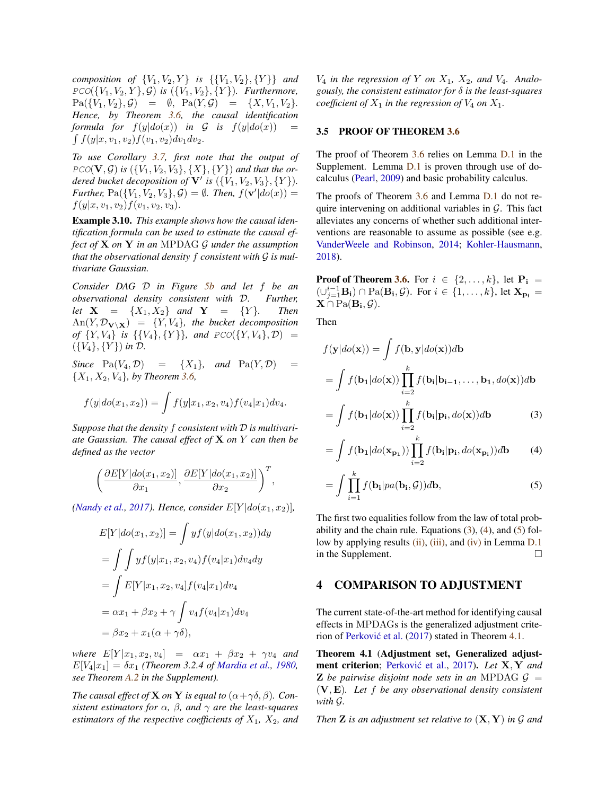*composition of*  ${V_1, V_2, Y}$  *is*  ${V_1, V_2}, {Y}$  *and*  $PCO({V_1, V_2, Y}, \mathcal{G})$  *is*  $({V_1, V_2}, {Y})$ *. Furthermore,*  $Pa({V_1, V_2}, G) = \emptyset$ ,  $Pa(Y, G) = {X, V_1, V_2}.$ *Hence, by Theorem [3.6,](#page-5-0) the causal identification formula for*  $f(y|do(x))$  *in*  $G$  *is*  $f(y|do(x))$  $\int f(y|x, v_1, v_2)f(v_1, v_2)dv_1dv_2.$ 

*To use Corollary [3.7,](#page-5-1) first note that the output of*  $PCO(V, \mathcal{G})$  is  $({V_1, V_2, V_3}, {X, Y}$ *dered bucket decoposition of*  $V'$  *is*  $({V_1, V_2, V_3}, {Y})$ *. Further,*  $Pa({V_1, V_2, V_3}, G) = \emptyset$ *. Then,*  $f({\bf v}' | do(x)) =$  $f(y|x, v_1, v_2)f(v_1, v_2, v_3).$ 

<span id="page-6-5"></span>Example 3.10. *This example shows how the causal identification formula can be used to estimate the causal effect of* X *on* Y *in an* MPDAG G *under the assumption that the observational density* f *consistent with* G *is multivariate Gaussian.*

*Consider DAG* D *in Figure [5b](#page-5-4) and let* f *be an observational density consistent with* D*. Further, let*  $X = \{X_1, X_2\}$  *and*  $Y = \{Y\}$ *. Then*  $An(Y, \mathcal{D}_{\mathbf{V}\setminus\mathbf{X}}) = \{Y, V_4\}$ , the bucket decomposition *of*  $\{Y, V_4\}$  *is*  $\{\{V_4\}, \{Y\}\}\$ *, and*  $PCO(\{Y, V_4\}, \mathcal{D}) =$  $({V_4}, {Y})$  *in*  $D$ .

*Since*  $Pa(V_4, \mathcal{D}) = \{X_1\}$ *, and*  $Pa(Y, \mathcal{D})$ {X1, X2, V4}*, by Theorem [3.6,](#page-5-0)*

$$
f(y|do(x_1, x_2)) = \int f(y|x_1, x_2, v_4) f(v_4|x_1) dv_4.
$$

*Suppose that the density* f *consistent with* D *is multivariate Gaussian. The causal effect of* X *on* Y *can then be defined as the vector*

$$
\left(\frac{\partial E[Y|do(x_1, x_2)]}{\partial x_1}, \frac{\partial E[Y|do(x_1, x_2)]}{\partial x_2}\right)^T,
$$

*[\(Nandy et al.,](#page-8-16) [2017\)](#page-8-16). Hence, consider*  $E[Y|do(x_1, x_2)]$ *,* 

$$
E[Y|do(x_1, x_2)] = \int yf(y|do(x_1, x_2))dy
$$
  
= 
$$
\int \int yf(y|x_1, x_2, v_4) f(v_4|x_1)dv_4dy
$$
  
= 
$$
\int E[Y|x_1, x_2, v_4] f(v_4|x_1)dv_4
$$
  
= 
$$
\alpha x_1 + \beta x_2 + \gamma \int v_4 f(v_4|x_1)dv_4
$$
  
= 
$$
\beta x_2 + x_1(\alpha + \gamma \delta),
$$

*where*  $E[Y|x_1, x_2, v_4] = \alpha x_1 + \beta x_2 + \gamma v_4$  *and*  $E[V_4|x_1] = \delta x_1$  *(Theorem 3.2.4 of [Mardia et al.,](#page-8-17) [1980,](#page-8-17) see Theorem [A.2](#page-0-1) in the Supplement).*

*The causal effect of* **X** *on* **Y** *is equal to*  $(\alpha + \gamma \delta, \beta)$ *. Consistent estimators for*  $\alpha$ ,  $\beta$ , and  $\gamma$  *are the least-squares estimators of the respective coefficients of*  $X_1$ ,  $X_2$ *, and*   $V_4$  *in the regression of* Y *on*  $X_1$ ,  $X_2$ *, and*  $V_4$ *. Analogously, the consistent estimator for* δ *is the least-squares coefficient of*  $X_1$  *in the regression of*  $V_4$  *on*  $X_1$ *.* 

# <span id="page-6-0"></span>3.5 PROOF OF THEOREM [3.6](#page-5-0)

The proof of Theorem [3.6](#page-5-0) relies on Lemma [D.1](#page-0-1) in the Supplement. Lemma [D.1](#page-0-1) is proven through use of docalculus [\(Pearl,](#page-9-1) [2009\)](#page-9-1) and basic probability calculus.

The proofs of Theorem [3.6](#page-5-0) and Lemma [D.1](#page-0-1) do not require intervening on additional variables in  $G$ . This fact alleviates any concerns of whether such additional interventions are reasonable to assume as possible (see e.g. [VanderWeele and Robinson,](#page-9-17) [2014;](#page-9-17) [Kohler-Hausmann,](#page-8-8) [2018\)](#page-8-8).

**Proof of Theorem [3.6.](#page-5-0)** For  $i \in \{2, ..., k\}$ , let  $P_i$  =  $(\cup_{j=1}^{i-1} \mathbf{B_i}) \cap \text{Pa}(\mathbf{B_i}, \mathcal{G})$ . For  $i \in \{1, \ldots, k\}$ , let  $\mathbf{X_{p_i}} =$  $\mathbf{X} \cap \text{Pa}(\mathbf{B_i}, \mathcal{G}).$ 

Then

$$
f(\mathbf{y}|do(\mathbf{x})) = \int f(\mathbf{b}, \mathbf{y}|do(\mathbf{x}))d\mathbf{b}
$$

$$
= \int f(\mathbf{b}_1|do(\mathbf{x})) \prod_{i=2}^{k} f(\mathbf{b}_i|\mathbf{b}_{i-1}, \dots, \mathbf{b}_1, do(\mathbf{x}))d\mathbf{b}
$$

<span id="page-6-2"></span>
$$
= \int f(\mathbf{b}_1|do(\mathbf{x})) \prod_{i=2}^{k} f(\mathbf{b}_i|\mathbf{p_i}, do(\mathbf{x})) d\mathbf{b}
$$
 (3)

<span id="page-6-3"></span>
$$
= \int f(\mathbf{b_1}|do(\mathbf{x_{p_1}})) \prod_{i=2}^k f(\mathbf{b_i}|\mathbf{p_i}, do(\mathbf{x_{p_i}})) d\mathbf{b} \qquad (4)
$$

<span id="page-6-4"></span>
$$
= \int \prod_{i=1}^{k} f(\mathbf{b}_i|pa(\mathbf{b}_i, \mathcal{G}))d\mathbf{b},
$$
 (5)

The first two equalities follow from the law of total probability and the chain rule. Equations  $(3)$ ,  $(4)$ , and  $(5)$  follow by applying results  $(ii)$ ,  $(iii)$ , and  $(iv)$  in Lemma [D.1](#page-0-1) in the Supplement.

### <span id="page-6-1"></span>4 COMPARISON TO ADJUSTMENT

The current state-of-the-art method for identifying causal effects in MPDAGs is the generalized adjustment crite-rion of Perković et al. [\(2017\)](#page-9-2) stated in Theorem [4.1.](#page-7-1)

Theorem 4.1 (Adjustment set, Generalized adjust-ment criterion; Perković et al., [2017\)](#page-9-2). *Let* X, Y and **Z** be pairwise disjoint node sets in an MPDAG  $\mathcal{G}$  = (V, E)*. Let* f *be any observational density consistent with* G*.*

*Then* Z *is an adjustment set relative to* (X, Y) *in* G *and*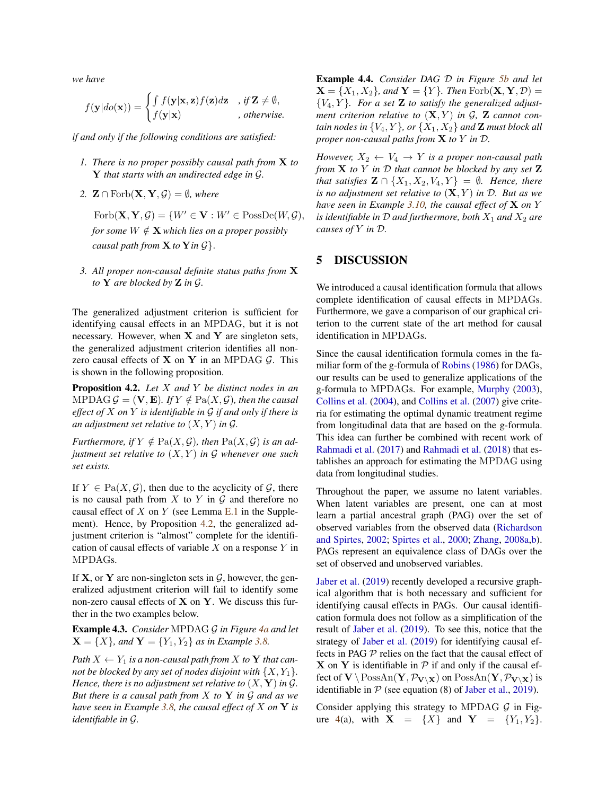*we have*

$$
f(\mathbf{y}|do(\mathbf{x})) = \begin{cases} \int f(\mathbf{y}|\mathbf{x}, \mathbf{z}) f(\mathbf{z}) d\mathbf{z} & , \text{ if } \mathbf{Z} \neq \emptyset, \\ f(\mathbf{y}|\mathbf{x}) & , \text{ otherwise.} \end{cases}
$$

*if and only if the following conditions are satisfied:*

- *1. There is no proper possibly causal path from* X *to* Y *that starts with an undirected edge in* G*.*
- 2.  $\mathbf{Z} \cap \text{Forb}(\mathbf{X}, \mathbf{Y}, \mathcal{G}) = \emptyset$ *, where* 
	- $\text{Forb}(\mathbf{X}, \mathbf{Y}, \mathcal{G}) = \{W' \in \mathbf{V} : W' \in \text{PossDe}(W, \mathcal{G}),\}$ *for some*  $W \notin \mathbf{X}$  *which lies on a proper possibly causal path from*  $X$  *to*  $Y$  *in*  $\mathcal{G}$ .
- <span id="page-7-1"></span>*3. All proper non-causal definite status paths from* X *to* Y *are blocked by* Z *in* G*.*

The generalized adjustment criterion is sufficient for identifying causal effects in an MPDAG, but it is not necessary. However, when  $X$  and  $Y$  are singleton sets, the generalized adjustment criterion identifies all nonzero causal effects of  $X$  on  $Y$  in an MPDAG  $G$ . This is shown in the following proposition.

<span id="page-7-0"></span>Proposition 4.2. *Let* X *and* Y *be distinct nodes in an* MPDAG  $\mathcal{G} = (\mathbf{V}, \mathbf{E})$ *. If*  $Y \notin \text{Pa}(X, \mathcal{G})$ *, then the causal effect of* X *on* Y *is identifiable in* G *if and only if there is an adjustment set relative to*  $(X, Y)$  *in G.* 

*Furthermore, if*  $Y \notin \text{Pa}(X, \mathcal{G})$ *, then*  $\text{Pa}(X, \mathcal{G})$  *is an adjustment set relative to* (X, Y ) *in* G *whenever one such set exists.*

If  $Y \in Pa(X, \mathcal{G})$ , then due to the acyclicity of  $\mathcal{G}$ , there is no causal path from  $X$  to  $Y$  in  $G$  and therefore no causal effect of  $X$  on  $Y$  (see Lemma [E.1](#page-0-1) in the Supplement). Hence, by Proposition [4.2,](#page-7-0) the generalized adjustment criterion is "almost" complete for the identification of causal effects of variable  $X$  on a response  $Y$  in MPDAGs.

If **X**, or **Y** are non-singleton sets in  $\mathcal{G}$ , however, the generalized adjustment criterion will fail to identify some non-zero causal effects of  $X$  on  $Y$ . We discuss this further in the two examples below.

Example 4.3. *Consider* MPDAG G *in Figure [4a](#page-4-0) and let*  $X = \{X\}$ *, and*  $Y = \{Y_1, Y_2\}$  *as in Example* [3.8.](#page-5-3)

*Path*  $X \leftarrow Y_1$  *is a non-causal path from* X *to* Y *that cannot be blocked by any set of nodes disjoint with*  $\{X, Y_1\}$ *. Hence, there is no adjustment set relative to*  $(X, Y)$  *in G. But there is a causal path from* X *to* Y *in* G *and as we have seen in Example [3.8,](#page-5-3) the causal effect of* X *on* Y *is identifiable in* G*.*

Example 4.4. *Consider DAG* D *in Figure [5b](#page-5-4) and let*  $\mathbf{X} = \{X_1, X_2\}$ , and  $\mathbf{Y} = \{Y\}$ . Then  $\text{Forb}(\mathbf{X}, \mathbf{Y}, \mathcal{D}) =$  ${V_4, Y}$ *. For a set* **Z** *to satisfy the generalized adjustment criterion relative to*  $(X, Y)$  *in*  $G$ *,*  $Z$  *cannot contain nodes in*  $\{V_4, Y\}$ *, or*  $\{X_1, X_2\}$  *and* **Z** *must block all proper non-causal paths from* X *to* Y *in* D*.*

*However,*  $X_2 \leftarrow V_4 \rightarrow Y$  *is a proper non-causal path from* X *to* Y *in* D *that cannot be blocked by any set* Z *that satisfies*  $\mathbf{Z} \cap \{X_1, X_2, V_4, Y\} = \emptyset$ *. Hence, there is no adjustment set relative to*  $(X, Y)$  *in*  $D$ *. But as we have seen in Example [3.10,](#page-6-5) the causal effect of* X *on* Y *is identifiable in*  $D$  *and furthermore, both*  $X_1$  *and*  $X_2$  *are causes of* Y *in* D*.*

# 5 DISCUSSION

We introduced a causal identification formula that allows complete identification of causal effects in MPDAGs. Furthermore, we gave a comparison of our graphical criterion to the current state of the art method for causal identification in MPDAGs.

Since the causal identification formula comes in the familiar form of the g-formula of [Robins](#page-9-0) [\(1986\)](#page-9-0) for DAGs, our results can be used to generalize applications of the g-formula to MPDAGs. For example, [Murphy](#page-8-18) [\(2003\)](#page-8-18), [Collins et al.](#page-8-19) [\(2004\)](#page-8-19), and [Collins et al.](#page-8-20) [\(2007\)](#page-8-20) give criteria for estimating the optimal dynamic treatment regime from longitudinal data that are based on the g-formula. This idea can further be combined with recent work of [Rahmadi et al.](#page-9-21) [\(2017\)](#page-9-21) and [Rahmadi et al.](#page-9-22) [\(2018\)](#page-9-22) that establishes an approach for estimating the MPDAG using data from longitudinal studies.

Throughout the paper, we assume no latent variables. When latent variables are present, one can at most learn a partial ancestral graph (PAG) over the set of observed variables from the observed data [\(Richardson](#page-9-23) [and Spirtes,](#page-9-23) [2002;](#page-9-23) [Spirtes et al.,](#page-9-5) [2000;](#page-9-5) [Zhang,](#page-9-24) [2008a,](#page-9-24)[b\)](#page-9-25). PAGs represent an equivalence class of DAGs over the set of observed and unobserved variables.

[Jaber et al.](#page-8-9) [\(2019\)](#page-8-9) recently developed a recursive graphical algorithm that is both necessary and sufficient for identifying causal effects in PAGs. Our causal identification formula does not follow as a simplification of the result of [Jaber et al.](#page-8-9) [\(2019\)](#page-8-9). To see this, notice that the strategy of [Jaber et al.](#page-8-9) [\(2019\)](#page-8-9) for identifying causal effects in PAG  $P$  relies on the fact that the causal effect of  $X$  on Y is identifiable in  $P$  if and only if the causal effect of  $\mathbf{V} \setminus \text{PossAn}(\mathbf{Y}, \mathcal{P}_{\mathbf{V} \setminus \mathbf{X}})$  on  $\text{PossAn}(\mathbf{Y}, \mathcal{P}_{\mathbf{V} \setminus \mathbf{X}})$  is identifiable in  $P$  (see equation (8) of [Jaber et al.,](#page-8-9) [2019\)](#page-8-9).

Consider applying this strategy to MPDAG  $G$  in Fig-ure [4\(](#page-4-0)a), with  $X = \{X\}$  and  $Y = \{Y_1, Y_2\}$ .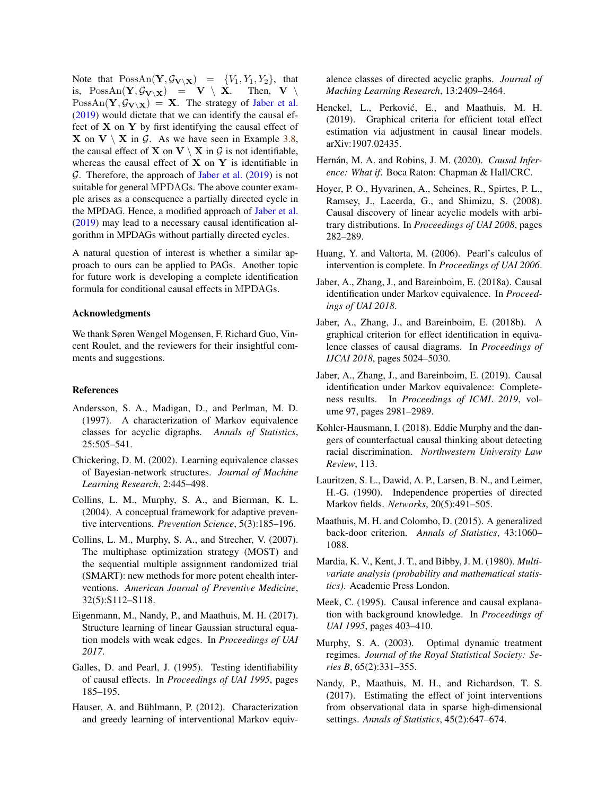Note that  $PossAn(Y, \mathcal{G}_{V \setminus X}) = \{V_1, Y_1, Y_2\}$ , that is,  $\text{PossAn}(\mathbf{Y}, \mathcal{G}_{\mathbf{V} \setminus \mathbf{X}}) = \mathbf{V} \setminus \mathbf{X}$ . Then,  $\mathbf{V} \setminus$  $PossAn(Y, \mathcal{G}_{V \setminus X}) = X$ . The strategy of [Jaber et al.](#page-8-9) [\(2019\)](#page-8-9) would dictate that we can identify the causal effect of  $X$  on  $Y$  by first identifying the causal effect of **X** on **V**  $\times$  **X** in G. As we have seen in Example [3.8,](#page-5-3) the causal effect of **X** on **V**  $\setminus$  **X** in  $\mathcal{G}$  is not identifiable, whereas the causal effect of  $X$  on  $Y$  is identifiable in  $G$ . Therefore, the approach of [Jaber et al.](#page-8-9) [\(2019\)](#page-8-9) is not suitable for general MPDAGs. The above counter example arises as a consequence a partially directed cycle in the MPDAG. Hence, a modified approach of [Jaber et al.](#page-8-9) [\(2019\)](#page-8-9) may lead to a necessary causal identification algorithm in MPDAGs without partially directed cycles.

A natural question of interest is whether a similar approach to ours can be applied to PAGs. Another topic for future work is developing a complete identification formula for conditional causal effects in MPDAGs.

### Acknowledgments

We thank Søren Wengel Mogensen, F. Richard Guo, Vincent Roulet, and the reviewers for their insightful comments and suggestions.

### References

- <span id="page-8-2"></span>Andersson, S. A., Madigan, D., and Perlman, M. D. (1997). A characterization of Markov equivalence classes for acyclic digraphs. *Annals of Statistics*, 25:505–541.
- <span id="page-8-3"></span>Chickering, D. M. (2002). Learning equivalence classes of Bayesian-network structures. *Journal of Machine Learning Research*, 2:445–498.
- <span id="page-8-19"></span>Collins, L. M., Murphy, S. A., and Bierman, K. L. (2004). A conceptual framework for adaptive preventive interventions. *Prevention Science*, 5(3):185–196.
- <span id="page-8-20"></span>Collins, L. M., Murphy, S. A., and Strecher, V. (2007). The multiphase optimization strategy (MOST) and the sequential multiple assignment randomized trial (SMART): new methods for more potent ehealth interventions. *American Journal of Preventive Medicine*, 32(5):S112–S118.
- <span id="page-8-6"></span>Eigenmann, M., Nandy, P., and Maathuis, M. H. (2017). Structure learning of linear Gaussian structural equation models with weak edges. In *Proceedings of UAI 2017*.
- <span id="page-8-0"></span>Galles, D. and Pearl, J. (1995). Testing identifiability of causal effects. In *Proceedings of UAI 1995*, pages 185–195.
- <span id="page-8-5"></span>Hauser, A. and Bühlmann, P. (2012). Characterization and greedy learning of interventional Markov equiv-

alence classes of directed acyclic graphs. *Journal of Maching Learning Research*, 13:2409–2464.

- <span id="page-8-11"></span>Henckel, L., Perković, E., and Maathuis, M. H. (2019). Graphical criteria for efficient total effect estimation via adjustment in causal linear models. arXiv:1907.02435.
- <span id="page-8-13"></span>Hernán, M. A. and Robins, J. M. (2020). Causal Infer*ence: What if*. Boca Raton: Chapman & Hall/CRC.
- <span id="page-8-4"></span>Hoyer, P. O., Hyvarinen, A., Scheines, R., Spirtes, P. L., Ramsey, J., Lacerda, G., and Shimizu, S. (2008). Causal discovery of linear acyclic models with arbitrary distributions. In *Proceedings of UAI 2008*, pages 282–289.
- <span id="page-8-10"></span>Huang, Y. and Valtorta, M. (2006). Pearl's calculus of intervention is complete. In *Proceedings of UAI 2006*.
- <span id="page-8-14"></span>Jaber, A., Zhang, J., and Bareinboim, E. (2018a). Causal identification under Markov equivalence. In *Proceedings of UAI 2018*.
- <span id="page-8-15"></span>Jaber, A., Zhang, J., and Bareinboim, E. (2018b). A graphical criterion for effect identification in equivalence classes of causal diagrams. In *Proceedings of IJCAI 2018*, pages 5024–5030.
- <span id="page-8-9"></span>Jaber, A., Zhang, J., and Bareinboim, E. (2019). Causal identification under Markov equivalence: Completeness results. In *Proceedings of ICML 2019*, volume 97, pages 2981–2989.
- <span id="page-8-8"></span>Kohler-Hausmann, I. (2018). Eddie Murphy and the dangers of counterfactual causal thinking about detecting racial discrimination. *Northwestern University Law Review*, 113.
- <span id="page-8-12"></span>Lauritzen, S. L., Dawid, A. P., Larsen, B. N., and Leimer, H.-G. (1990). Independence properties of directed Markov fields. *Networks*, 20(5):491–505.
- <span id="page-8-7"></span>Maathuis, M. H. and Colombo, D. (2015). A generalized back-door criterion. *Annals of Statistics*, 43:1060– 1088.
- <span id="page-8-17"></span>Mardia, K. V., Kent, J. T., and Bibby, J. M. (1980). *Multivariate analysis (probability and mathematical statistics)*. Academic Press London.
- <span id="page-8-1"></span>Meek, C. (1995). Causal inference and causal explanation with background knowledge. In *Proceedings of UAI 1995*, pages 403–410.
- <span id="page-8-18"></span>Murphy, S. A. (2003). Optimal dynamic treatment regimes. *Journal of the Royal Statistical Society: Series B*, 65(2):331–355.
- <span id="page-8-16"></span>Nandy, P., Maathuis, M. H., and Richardson, T. S. (2017). Estimating the effect of joint interventions from observational data in sparse high-dimensional settings. *Annals of Statistics*, 45(2):647–674.